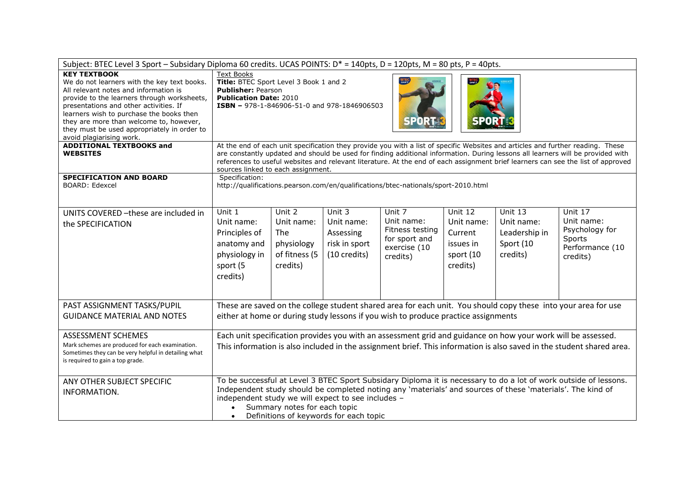| Subject: BTEC Level 3 Sport - Subsidary Diploma 60 credits. UCAS POINTS: D* = 140pts, D = 120pts, M = 80 pts, P = 40pts.                                                                                                                                                                                                                                                                                  |                                                                                                                                                                                                                                                                                                                                                                                                                                              |                                                                               |                                                                    |                                                                                      |                                                                        |                                                                 |                                                                                  |
|-----------------------------------------------------------------------------------------------------------------------------------------------------------------------------------------------------------------------------------------------------------------------------------------------------------------------------------------------------------------------------------------------------------|----------------------------------------------------------------------------------------------------------------------------------------------------------------------------------------------------------------------------------------------------------------------------------------------------------------------------------------------------------------------------------------------------------------------------------------------|-------------------------------------------------------------------------------|--------------------------------------------------------------------|--------------------------------------------------------------------------------------|------------------------------------------------------------------------|-----------------------------------------------------------------|----------------------------------------------------------------------------------|
| <b>KEY TEXTBOOK</b><br>We do not learners with the key text books.<br>All relevant notes and information is<br>provide to the learners through worksheets,<br>presentations and other activities. If<br>learners wish to purchase the books then<br>they are more than welcome to, however,<br>they must be used appropriately in order to<br>avoid plagiarising work.<br><b>ADDITIONAL TEXTBOOKS and</b> | <b>Text Books</b><br>Title: BTEC Sport Level 3 Book 1 and 2<br><b>Publisher: Pearson</b><br><b>Publication Date: 2010</b><br>ISBN - 978-1-846906-51-0 and 978-1846906503<br><b>SPORT</b>                                                                                                                                                                                                                                                     |                                                                               |                                                                    |                                                                                      |                                                                        |                                                                 |                                                                                  |
| <b>WEBSITES</b>                                                                                                                                                                                                                                                                                                                                                                                           | At the end of each unit specification they provide you with a list of specific Websites and articles and further reading. These<br>are constantly updated and should be used for finding additional information. During lessons all learners will be provided with<br>references to useful websites and relevant literature. At the end of each assignment brief learners can see the list of approved<br>sources linked to each assignment. |                                                                               |                                                                    |                                                                                      |                                                                        |                                                                 |                                                                                  |
| SPECIFICATION AND BOARD<br><b>BOARD: Edexcel</b>                                                                                                                                                                                                                                                                                                                                                          | Specification:<br>http://qualifications.pearson.com/en/qualifications/btec-nationals/sport-2010.html                                                                                                                                                                                                                                                                                                                                         |                                                                               |                                                                    |                                                                                      |                                                                        |                                                                 |                                                                                  |
| UNITS COVERED - these are included in<br>the SPECIFICATION                                                                                                                                                                                                                                                                                                                                                | Unit 1<br>Unit name:<br>Principles of<br>anatomy and<br>physiology in<br>sport (5<br>credits)                                                                                                                                                                                                                                                                                                                                                | Unit 2<br>Unit name:<br><b>The</b><br>physiology<br>of fitness (5<br>credits) | Unit 3<br>Unit name:<br>Assessing<br>risk in sport<br>(10 credits) | Unit 7<br>Unit name:<br>Fitness testing<br>for sport and<br>exercise (10<br>credits) | Unit 12<br>Unit name:<br>Current<br>issues in<br>sport (10<br>credits) | Unit 13<br>Unit name:<br>Leadership in<br>Sport (10<br>credits) | Unit 17<br>Unit name:<br>Psychology for<br>Sports<br>Performance (10<br>credits) |
| PAST ASSIGNMENT TASKS/PUPIL<br><b>GUIDANCE MATERIAL AND NOTES</b>                                                                                                                                                                                                                                                                                                                                         | These are saved on the college student shared area for each unit. You should copy these into your area for use<br>either at home or during study lessons if you wish to produce practice assignments                                                                                                                                                                                                                                         |                                                                               |                                                                    |                                                                                      |                                                                        |                                                                 |                                                                                  |
| ASSESSMENT SCHEMES<br>Mark schemes are produced for each examination.<br>Sometimes they can be very helpful in detailing what<br>is required to gain a top grade.                                                                                                                                                                                                                                         | Each unit specification provides you with an assessment grid and guidance on how your work will be assessed.<br>This information is also included in the assignment brief. This information is also saved in the student shared area.                                                                                                                                                                                                        |                                                                               |                                                                    |                                                                                      |                                                                        |                                                                 |                                                                                  |
| ANY OTHER SUBJECT SPECIFIC<br>INFORMATION.                                                                                                                                                                                                                                                                                                                                                                | To be successful at Level 3 BTEC Sport Subsidary Diploma it is necessary to do a lot of work outside of lessons.<br>Independent study should be completed noting any 'materials' and sources of these 'materials'. The kind of<br>independent study we will expect to see includes -<br>Summary notes for each topic<br>Definitions of keywords for each topic                                                                               |                                                                               |                                                                    |                                                                                      |                                                                        |                                                                 |                                                                                  |